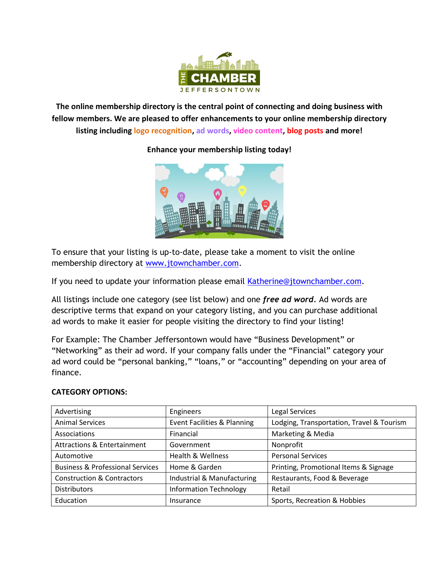

**The online membership directory is the central point of connecting and doing business with fellow members. We are pleased to offer enhancements to your online membership directory listing including logo recognition, ad words, video content, blog posts and more!** 

**Enhance your membership listing today!** 

To ensure that your listing is up-to-date, please take a moment to visit the online membership directory at [www.jtownchamber.com.](http://www.jtownchamber.com/)

If you need to update your information please email [Katherine@jtownchamber.com.](mailto:Katherine@jtownchamber.com)

All listings include one category (see list below) and one *free ad word.* Ad words are descriptive terms that expand on your category listing, and you can purchase additional ad words to make it easier for people visiting the directory to find your listing!

For Example: The Chamber Jeffersontown would have "Business Development" or "Networking" as their ad word. If your company falls under the "Financial" category your ad word could be "personal banking," "loans," or "accounting" depending on your area of finance.

## **CATEGORY OPTIONS:**

| Advertising                                 | Engineers                              | Legal Services                            |
|---------------------------------------------|----------------------------------------|-------------------------------------------|
| <b>Animal Services</b>                      | <b>Event Facilities &amp; Planning</b> | Lodging, Transportation, Travel & Tourism |
| Associations                                | Financial                              | Marketing & Media                         |
| Attractions & Entertainment                 | Government                             | Nonprofit                                 |
| Automotive                                  | Health & Wellness                      | <b>Personal Services</b>                  |
| <b>Business &amp; Professional Services</b> | Home & Garden                          | Printing, Promotional Items & Signage     |
| <b>Construction &amp; Contractors</b>       | Industrial & Manufacturing             | Restaurants, Food & Beverage              |
| <b>Distributors</b>                         | <b>Information Technology</b>          | Retail                                    |
| Education                                   | Insurance                              | Sports, Recreation & Hobbies              |